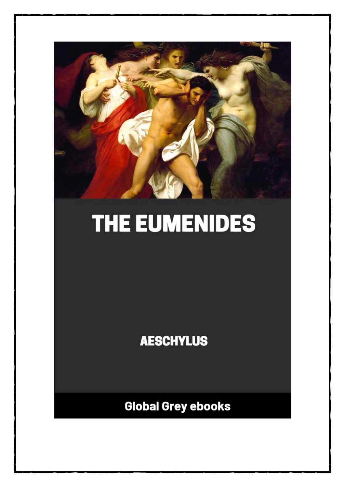

# THE EUMENIDES

**AESCHYLUS** 

**Global Grey ebooks**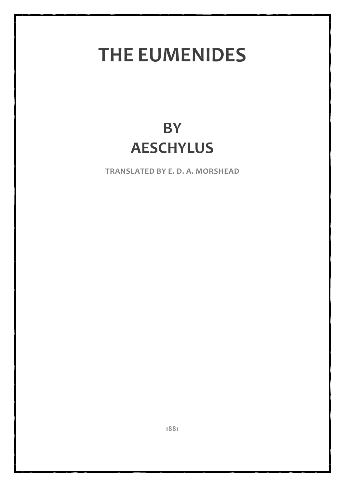## **THE EUMENIDES**

### **BY AESCHYLUS**

**TRANSLATED BY E. D. A. MORSHEAD**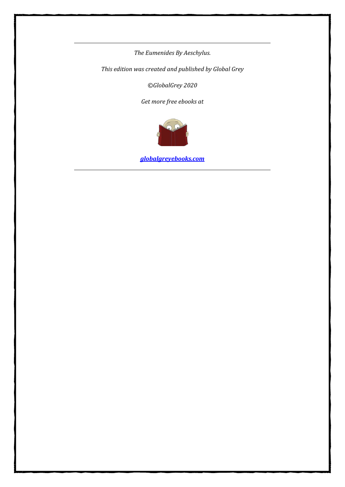*The Eumenides By Aeschylus.*

*This edition was created and published by Global Grey*

*©GlobalGrey 2020*

*Get more free ebooks at*



*[globalgreyebooks.com](https://www.globalgreyebooks.com/index.html)*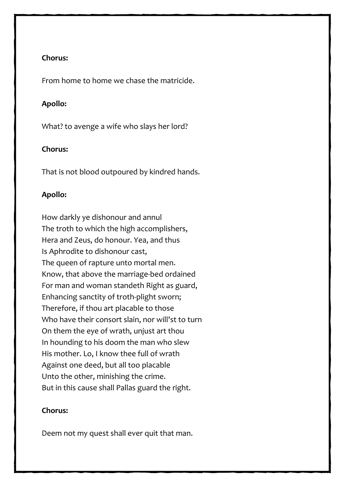#### **Chorus:**

From home to home we chase the matricide.

#### **Apollo:**

What? to avenge a wife who slays her lord?

#### **Chorus:**

That is not blood outpoured by kindred hands.

#### **Apollo:**

How darkly ye dishonour and annul The troth to which the high accomplishers, Hera and Zeus, do honour. Yea, and thus Is Aphrodite to dishonour cast, The queen of rapture unto mortal men. Know, that above the marriage-bed ordained For man and woman standeth Right as guard, Enhancing sanctity of troth-plight sworn; Therefore, if thou art placable to those Who have their consort slain, nor will'st to turn On them the eye of wrath, unjust art thou In hounding to his doom the man who slew His mother. Lo, I know thee full of wrath Against one deed, but all too placable Unto the other, minishing the crime. But in this cause shall Pallas guard the right.

#### **Chorus:**

Deem not my quest shall ever quit that man.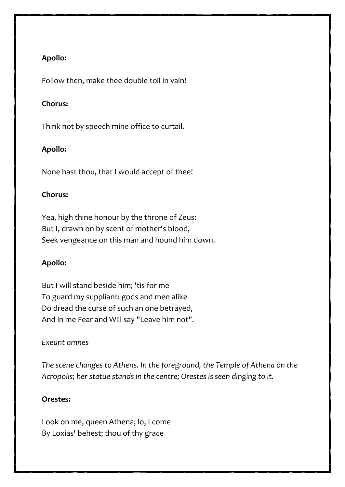#### **Apollo:**

Follow then, make thee double toil in vain!

#### **Chorus:**

Think not by speech mine office to curtail.

#### **Apollo:**

None hast thou, that I would accept of thee!

#### **Chorus:**

Yea, high thine honour by the throne of Zeus: But I, drawn on by scent of mother's blood, Seek vengeance on this man and hound him down.

#### **Apollo:**

But I will stand beside him; 'tis for me To guard my suppliant: gods and men alike Do dread the curse of such an one betrayed, And in me Fear and Will say "Leave him not".

#### *Exeunt omnes*

*The scene changes to Athens. In the foreground, the Temple of Athena on the Acropolis; her statue stands in the centre; Orestes is seen dinging to it.*

#### **Orestes:**

Look on me, queen Athena; lo, I come By Loxias' behest; thou of thy grace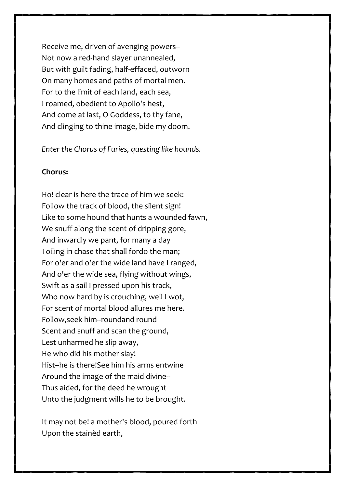Receive me, driven of avenging powers-- Not now a red-hand slayer unannealed, But with guilt fading, half-effaced, outworn On many homes and paths of mortal men. For to the limit of each land, each sea, I roamed, obedient to Apollo's hest, And come at last, O Goddess, to thy fane, And clinging to thine image, bide my doom.

*Enter the Chorus of Furies, questing like hounds.*

#### **Chorus:**

Ho! clear is here the trace of him we seek: Follow the track of blood, the silent sign! Like to some hound that hunts a wounded fawn, We snuff along the scent of dripping gore, And inwardly we pant, for many a day Toiling in chase that shall fordo the man; For o'er and o'er the wide land have I ranged, And o'er the wide sea, flying without wings, Swift as a sail I pressed upon his track, Who now hard by is crouching, well I wot, For scent of mortal blood allures me here. Follow,seek him--roundand round Scent and snuff and scan the ground, Lest unharmed he slip away, He who did his mother slay! Hist--he is there!See him his arms entwine Around the image of the maid divine-- Thus aided, for the deed he wrought Unto the judgment wills he to be brought.

It may not be! a mother's blood, poured forth Upon the stainèd earth,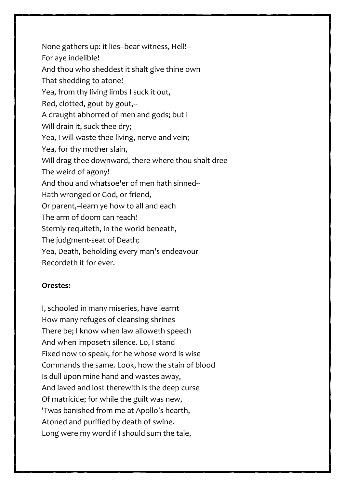None gathers up: it lies--bear witness, Hell!-- For aye indelible! And thou who sheddest it shalt give thine own That shedding to atone! Yea, from thy living limbs I suck it out, Red, clotted, gout by gout,-- A draught abhorred of men and gods; but I Will drain it, suck thee dry; Yea, I will waste thee living, nerve and vein; Yea, for thy mother slain, Will drag thee downward, there where thou shalt dree The weird of agony! And thou and whatsoe'er of men hath sinned-- Hath wronged or God, or friend, Or parent,--learn ye how to all and each The arm of doom can reach! Sternly requiteth, in the world beneath, The judgment-seat of Death; Yea, Death, beholding every man's endeavour Recordeth it for ever.

#### **Orestes:**

I, schooled in many miseries, have learnt How many refuges of cleansing shrines There be; I know when law alloweth speech And when imposeth silence. Lo, I stand Fixed now to speak, for he whose word is wise Commands the same. Look, how the stain of blood Is dull upon mine hand and wastes away, And laved and lost therewith is the deep curse Of matricide; for while the guilt was new, 'Twas banished from me at Apollo's hearth, Atoned and purified by death of swine. Long were my word if I should sum the tale,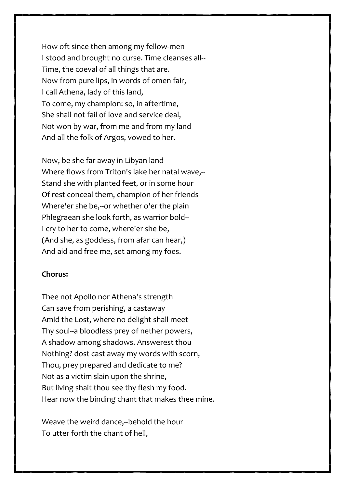How oft since then among my fellow-men I stood and brought no curse. Time cleanses all-- Time, the coeval of all things that are. Now from pure lips, in words of omen fair, I call Athena, lady of this land, To come, my champion: so, in aftertime, She shall not fail of love and service deal, Not won by war, from me and from my land And all the folk of Argos, vowed to her.

Now, be she far away in Libyan land Where flows from Triton's lake her natal wave,-- Stand she with planted feet, or in some hour Of rest conceal them, champion of her friends Where'er she be,--or whether o'er the plain Phlegraean she look forth, as warrior bold-- I cry to her to come, where'er she be, (And she, as goddess, from afar can hear,) And aid and free me, set among my foes.

#### **Chorus:**

Thee not Apollo nor Athena's strength Can save from perishing, a castaway Amid the Lost, where no delight shall meet Thy soul--a bloodless prey of nether powers, A shadow among shadows. Answerest thou Nothing? dost cast away my words with scorn, Thou, prey prepared and dedicate to me? Not as a victim slain upon the shrine, But living shalt thou see thy flesh my food. Hear now the binding chant that makes thee mine.

Weave the weird dance,--behold the hour To utter forth the chant of hell,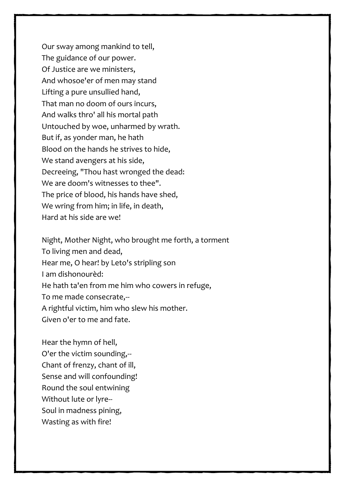Our sway among mankind to tell, The guidance of our power. Of Justice are we ministers, And whosoe'er of men may stand Lifting a pure unsullied hand, That man no doom of ours incurs, And walks thro' all his mortal path Untouched by woe, unharmed by wrath. But if, as yonder man, he hath Blood on the hands he strives to hide, We stand avengers at his side, Decreeing, "Thou hast wronged the dead: We are doom's witnesses to thee". The price of blood, his hands have shed, We wring from him; in life, in death, Hard at his side are we!

Night, Mother Night, who brought me forth, a torment To living men and dead, Hear me, O hear! by Leto's stripling son I am dishonourèd: He hath ta'en from me him who cowers in refuge, To me made consecrate,-- A rightful victim, him who slew his mother. Given o'er to me and fate.

Hear the hymn of hell, O'er the victim sounding,-- Chant of frenzy, chant of ill, Sense and will confounding! Round the soul entwining Without lute or lyre-- Soul in madness pining, Wasting as with fire!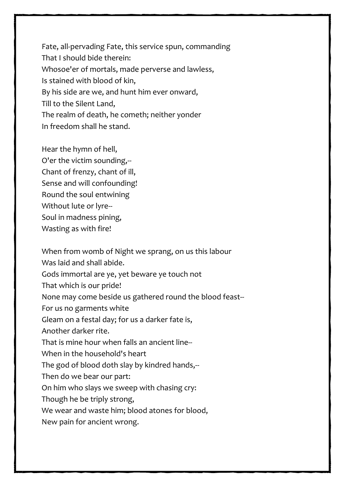Fate, all-pervading Fate, this service spun, commanding That I should bide therein: Whosoe'er of mortals, made perverse and lawless, Is stained with blood of kin, By his side are we, and hunt him ever onward, Till to the Silent Land, The realm of death, he cometh; neither yonder In freedom shall he stand.

Hear the hymn of hell, O'er the victim sounding,-- Chant of frenzy, chant of ill, Sense and will confounding! Round the soul entwining Without lute or lyre-- Soul in madness pining, Wasting as with fire!

When from womb of Night we sprang, on us this labour Was laid and shall abide. Gods immortal are ye, yet beware ye touch not That which is our pride! None may come beside us gathered round the blood feast-- For us no garments white Gleam on a festal day; for us a darker fate is, Another darker rite. That is mine hour when falls an ancient line-- When in the household's heart The god of blood doth slay by kindred hands,-- Then do we bear our part: On him who slays we sweep with chasing cry: Though he be triply strong, We wear and waste him; blood atones for blood, New pain for ancient wrong.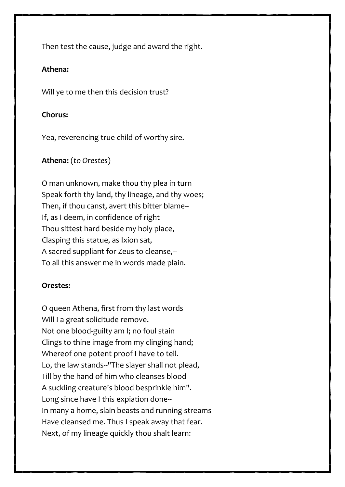Then test the cause, judge and award the right.

#### **Athena:**

Will ye to me then this decision trust?

#### **Chorus:**

Yea, reverencing true child of worthy sire.

#### **Athena:** (*to Orestes*)

O man unknown, make thou thy plea in turn Speak forth thy land, thy lineage, and thy woes; Then, if thou canst, avert this bitter blame-- If, as I deem, in confidence of right Thou sittest hard beside my holy place, Clasping this statue, as Ixion sat, A sacred suppliant for Zeus to cleanse,-- To all this answer me in words made plain.

#### **Orestes:**

O queen Athena, first from thy last words Will I a great solicitude remove. Not one blood-guilty am I; no foul stain Clings to thine image from my clinging hand; Whereof one potent proof I have to tell. Lo, the law stands--"The slayer shall not plead, Till by the hand of him who cleanses blood A suckling creature's blood besprinkle him". Long since have I this expiation done-- In many a home, slain beasts and running streams Have cleansed me. Thus I speak away that fear. Next, of my lineage quickly thou shalt learn: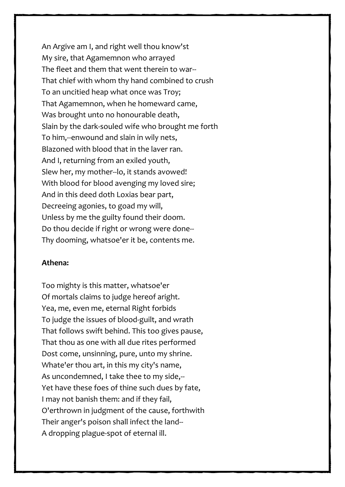An Argive am I, and right well thou know'st My sire, that Agamemnon who arrayed The fleet and them that went therein to war-- That chief with whom thy hand combined to crush To an uncitied heap what once was Troy; That Agamemnon, when he homeward came, Was brought unto no honourable death, Slain by the dark-souled wife who brought me forth To him,--enwound and slain in wily nets, Blazoned with blood that in the laver ran. And I, returning from an exiled youth, Slew her, my mother--lo, it stands avowed! With blood for blood avenging my loved sire; And in this deed doth Loxias bear part, Decreeing agonies, to goad my will, Unless by me the guilty found their doom. Do thou decide if right or wrong were done-- Thy dooming, whatsoe'er it be, contents me.

#### **Athena:**

Too mighty is this matter, whatsoe'er Of mortals claims to judge hereof aright. Yea, me, even me, eternal Right forbids To judge the issues of blood-guilt, and wrath That follows swift behind. This too gives pause, That thou as one with all due rites performed Dost come, unsinning, pure, unto my shrine. Whate'er thou art, in this my city's name, As uncondemned, I take thee to my side,-- Yet have these foes of thine such dues by fate, I may not banish them: and if they fail, O'erthrown in judgment of the cause, forthwith Their anger's poison shall infect the land-- A dropping plague-spot of eternal ill.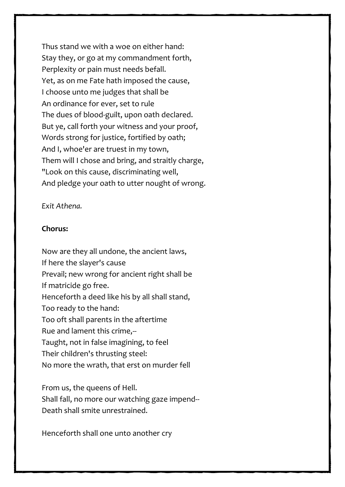Thus stand we with a woe on either hand: Stay they, or go at my commandment forth, Perplexity or pain must needs befall. Yet, as on me Fate hath imposed the cause, I choose unto me judges that shall be An ordinance for ever, set to rule The dues of blood-guilt, upon oath declared. But ye, call forth your witness and your proof, Words strong for justice, fortified by oath; And I, whoe'er are truest in my town, Them will I chose and bring, and straitly charge, "Look on this cause, discriminating well, And pledge your oath to utter nought of wrong.

*Exit Athena.*

#### **Chorus:**

Now are they all undone, the ancient laws, If here the slayer's cause Prevail; new wrong for ancient right shall be If matricide go free. Henceforth a deed like his by all shall stand, Too ready to the hand: Too oft shall parents in the aftertime Rue and lament this crime,-- Taught, not in false imagining, to feel Their children's thrusting steel: No more the wrath, that erst on murder fell

From us, the queens of Hell. Shall fall, no more our watching gaze impend-- Death shall smite unrestrained.

Henceforth shall one unto another cry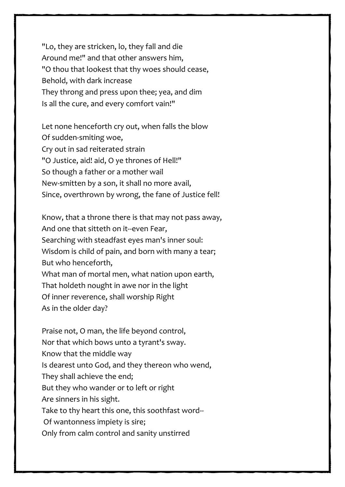"Lo, they are stricken, lo, they fall and die Around me!" and that other answers him, "O thou that lookest that thy woes should cease, Behold, with dark increase They throng and press upon thee; yea, and dim Is all the cure, and every comfort vain!"

Let none henceforth cry out, when falls the blow Of sudden-smiting woe, Cry out in sad reiterated strain "O Justice, aid! aid, O ye thrones of Hell!" So though a father or a mother wail New-smitten by a son, it shall no more avail, Since, overthrown by wrong, the fane of Justice fell!

Know, that a throne there is that may not pass away, And one that sitteth on it--even Fear, Searching with steadfast eyes man's inner soul: Wisdom is child of pain, and born with many a tear; But who henceforth, What man of mortal men, what nation upon earth, That holdeth nought in awe nor in the light Of inner reverence, shall worship Right As in the older day?

Praise not, O man, the life beyond control, Nor that which bows unto a tyrant's sway. Know that the middle way Is dearest unto God, and they thereon who wend, They shall achieve the end; But they who wander or to left or right Are sinners in his sight. Take to thy heart this one, this soothfast word-- Of wantonness impiety is sire; Only from calm control and sanity unstirred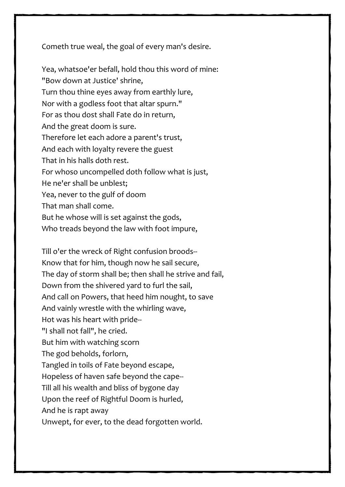Cometh true weal, the goal of every man's desire.

Yea, whatsoe'er befall, hold thou this word of mine: "Bow down at Justice' shrine, Turn thou thine eyes away from earthly lure, Nor with a godless foot that altar spurn." For as thou dost shall Fate do in return, And the great doom is sure. Therefore let each adore a parent's trust, And each with loyalty revere the guest That in his halls doth rest. For whoso uncompelled doth follow what is just, He ne'er shall be unblest; Yea, never to the gulf of doom That man shall come. But he whose will is set against the gods, Who treads beyond the law with foot impure,

Till o'er the wreck of Right confusion broods-- Know that for him, though now he sail secure, The day of storm shall be; then shall he strive and fail, Down from the shivered yard to furl the sail, And call on Powers, that heed him nought, to save And vainly wrestle with the whirling wave, Hot was his heart with pride-- "I shall not fall", he cried. But him with watching scorn The god beholds, forlorn, Tangled in toils of Fate beyond escape, Hopeless of haven safe beyond the cape-- Till all his wealth and bliss of bygone day Upon the reef of Rightful Doom is hurled, And he is rapt away Unwept, for ever, to the dead forgotten world.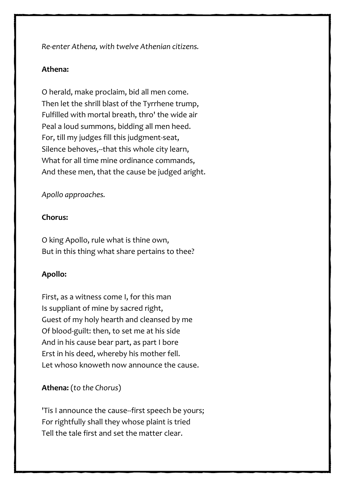*Re-enter Athena, with twelve Athenian citizens.*

#### **Athena:**

O herald, make proclaim, bid all men come. Then let the shrill blast of the Tyrrhene trump, Fulfilled with mortal breath, thro' the wide air Peal a loud summons, bidding all men heed. For, till my judges fill this judgment-seat, Silence behoves,--that this whole city learn, What for all time mine ordinance commands, And these men, that the cause be judged aright.

*Apollo approaches.*

#### **Chorus:**

O king Apollo, rule what is thine own, But in this thing what share pertains to thee?

#### **Apollo:**

First, as a witness come I, for this man Is suppliant of mine by sacred right, Guest of my holy hearth and cleansed by me Of blood-guilt: then, to set me at his side And in his cause bear part, as part I bore Erst in his deed, whereby his mother fell. Let whoso knoweth now announce the cause.

#### **Athena:** (*to the Chorus*)

'Tis I announce the cause--first speech be yours; For rightfully shall they whose plaint is tried Tell the tale first and set the matter clear.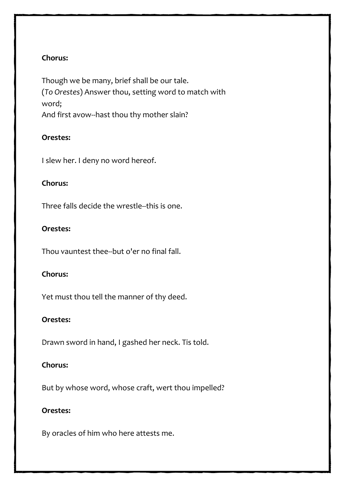#### **Chorus:**

Though we be many, brief shall be our tale. (*To Orestes*) Answer thou, setting word to match with word; And first avow--hast thou thy mother slain?

#### **Orestes:**

I slew her. I deny no word hereof.

#### **Chorus:**

Three falls decide the wrestle--this is one.

#### **Orestes:**

Thou vauntest thee--but o'er no final fall.

#### **Chorus:**

Yet must thou tell the manner of thy deed.

#### **Orestes:**

Drawn sword in hand, I gashed her neck. Tis told.

#### **Chorus:**

But by whose word, whose craft, wert thou impelled?

#### **Orestes:**

By oracles of him who here attests me.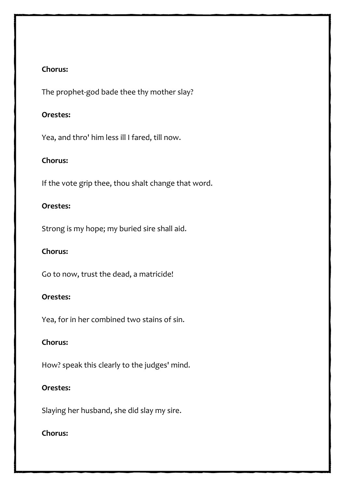#### **Chorus:**

The prophet-god bade thee thy mother slay?

#### **Orestes:**

Yea, and thro' him less ill I fared, till now.

#### **Chorus:**

If the vote grip thee, thou shalt change that word.

#### **Orestes:**

Strong is my hope; my buried sire shall aid.

#### **Chorus:**

Go to now, trust the dead, a matricide!

#### **Orestes:**

Yea, for in her combined two stains of sin.

#### **Chorus:**

How? speak this clearly to the judges' mind.

#### **Orestes:**

Slaying her husband, she did slay my sire.

#### **Chorus:**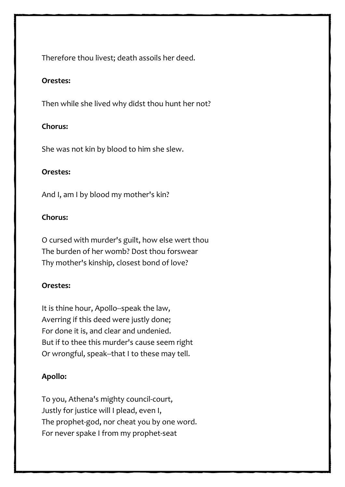Therefore thou livest; death assoils her deed.

#### **Orestes:**

Then while she lived why didst thou hunt her not?

#### **Chorus:**

She was not kin by blood to him she slew.

#### **Orestes:**

And I, am I by blood my mother's kin?

#### **Chorus:**

O cursed with murder's guilt, how else wert thou The burden of her womb? Dost thou forswear Thy mother's kinship, closest bond of love?

#### **Orestes:**

It is thine hour, Apollo--speak the law, Averring if this deed were justly done; For done it is, and clear and undenied. But if to thee this murder's cause seem right Or wrongful, speak--that I to these may tell.

#### **Apollo:**

To you, Athena's mighty council-court, Justly for justice will I plead, even I, The prophet-god, nor cheat you by one word. For never spake I from my prophet-seat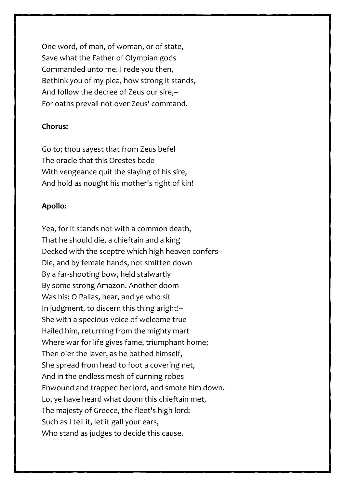One word, of man, of woman, or of state, Save what the Father of Olympian gods Commanded unto me. I rede you then, Bethink you of my plea, how strong it stands, And follow the decree of Zeus our sire,-- For oaths prevail not over Zeus' command.

#### **Chorus:**

Go to; thou sayest that from Zeus befel The oracle that this Orestes bade With vengeance quit the slaying of his sire, And hold as nought his mother's right of kin!

#### **Apollo:**

Yea, for it stands not with a common death, That he should die, a chieftain and a king Decked with the sceptre which high heaven confers-- Die, and by female hands, not smitten down By a far-shooting bow, held stalwartly By some strong Amazon. Another doom Was his: O Pallas, hear, and ye who sit In judgment, to discern this thing aright!-- She with a specious voice of welcome true Hailed him, returning from the mighty mart Where war for life gives fame, triumphant home; Then o'er the laver, as he bathed himself, She spread from head to foot a covering net, And in the endless mesh of cunning robes Enwound and trapped her lord, and smote him down. Lo, ye have heard what doom this chieftain met, The majesty of Greece, the fleet's high lord: Such as I tell it, let it gall your ears, Who stand as judges to decide this cause.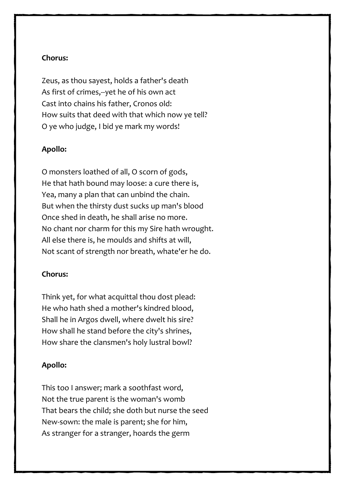#### **Chorus:**

Zeus, as thou sayest, holds a father's death As first of crimes,--yet he of his own act Cast into chains his father, Cronos old: How suits that deed with that which now ye tell? O ye who judge, I bid ye mark my words!

#### **Apollo:**

O monsters loathed of all, O scorn of gods, He that hath bound may loose: a cure there is, Yea, many a plan that can unbind the chain. But when the thirsty dust sucks up man's blood Once shed in death, he shall arise no more. No chant nor charm for this my Sire hath wrought. All else there is, he moulds and shifts at will, Not scant of strength nor breath, whate'er he do.

#### **Chorus:**

Think yet, for what acquittal thou dost plead: He who hath shed a mother's kindred blood, Shall he in Argos dwell, where dwelt his sire? How shall he stand before the city's shrines, How share the clansmen's holy lustral bowl?

#### **Apollo:**

This too I answer; mark a soothfast word, Not the true parent is the woman's womb That bears the child; she doth but nurse the seed New-sown: the male is parent; she for him, As stranger for a stranger, hoards the germ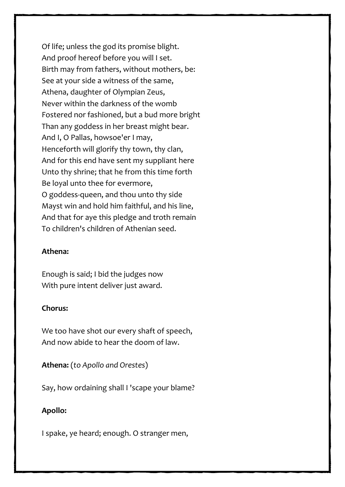Of life; unless the god its promise blight. And proof hereof before you will I set. Birth may from fathers, without mothers, be: See at your side a witness of the same, Athena, daughter of Olympian Zeus, Never within the darkness of the womb Fostered nor fashioned, but a bud more bright Than any goddess in her breast might bear. And I, O Pallas, howsoe'er I may, Henceforth will glorify thy town, thy clan, And for this end have sent my suppliant here Unto thy shrine; that he from this time forth Be loyal unto thee for evermore, O goddess-queen, and thou unto thy side Mayst win and hold him faithful, and his line, And that for aye this pledge and troth remain To children's children of Athenian seed.

#### **Athena:**

Enough is said; I bid the judges now With pure intent deliver just award.

#### **Chorus:**

We too have shot our every shaft of speech, And now abide to hear the doom of law.

**Athena:** (*to Apollo and Orestes*)

Say, how ordaining shall I 'scape your blame?

#### **Apollo:**

I spake, ye heard; enough. O stranger men,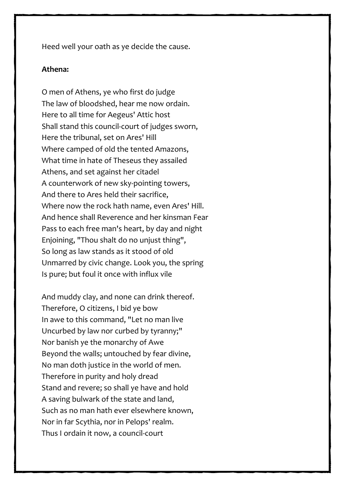Heed well your oath as ye decide the cause.

#### **Athena:**

O men of Athens, ye who first do judge The law of bloodshed, hear me now ordain. Here to all time for Aegeus' Attic host Shall stand this council-court of judges sworn, Here the tribunal, set on Ares' Hill Where camped of old the tented Amazons, What time in hate of Theseus they assailed Athens, and set against her citadel A counterwork of new sky-pointing towers, And there to Ares held their sacrifice, Where now the rock hath name, even Ares' Hill. And hence shall Reverence and her kinsman Fear Pass to each free man's heart, by day and night Enjoining, "Thou shalt do no unjust thing", So long as law stands as it stood of old Unmarred by civic change. Look you, the spring Is pure; but foul it once with influx vile

And muddy clay, and none can drink thereof. Therefore, O citizens, I bid ye bow In awe to this command, "Let no man live Uncurbed by law nor curbed by tyranny;" Nor banish ye the monarchy of Awe Beyond the walls; untouched by fear divine, No man doth justice in the world of men. Therefore in purity and holy dread Stand and revere; so shall ye have and hold A saving bulwark of the state and land, Such as no man hath ever elsewhere known, Nor in far Scythia, nor in Pelops' realm. Thus I ordain it now, a council-court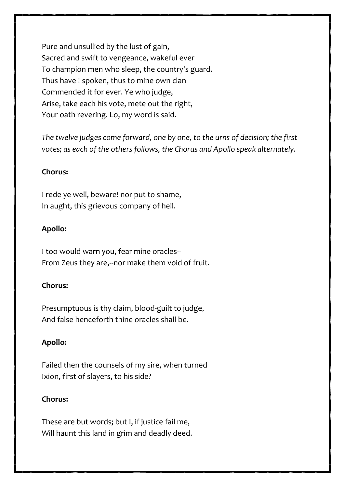Pure and unsullied by the lust of gain, Sacred and swift to vengeance, wakeful ever To champion men who sleep, the country's guard. Thus have I spoken, thus to mine own clan Commended it for ever. Ye who judge, Arise, take each his vote, mete out the right, Your oath revering. Lo, my word is said.

*The twelve judges come forward, one by one, to the urns of decision; the first votes; as each of the others follows, the Chorus and Apollo speak alternately.*

#### **Chorus:**

I rede ye well, beware! nor put to shame, In aught, this grievous company of hell.

#### **Apollo:**

I too would warn you, fear mine oracles-- From Zeus they are,--nor make them void of fruit.

#### **Chorus:**

Presumptuous is thy claim, blood-guilt to judge, And false henceforth thine oracles shall be.

#### **Apollo:**

Failed then the counsels of my sire, when turned Ixion, first of slayers, to his side?

#### **Chorus:**

These are but words; but I, if justice fail me, Will haunt this land in grim and deadly deed.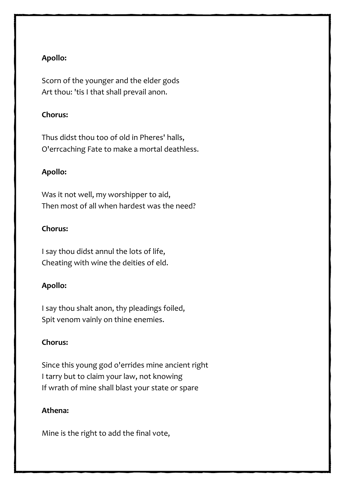#### **Apollo:**

Scorn of the younger and the elder gods Art thou: 'tis I that shall prevail anon.

#### **Chorus:**

Thus didst thou too of old in Pheres' halls, O'errcaching Fate to make a mortal deathless.

#### **Apollo:**

Was it not well, my worshipper to aid, Then most of all when hardest was the need?

#### **Chorus:**

I say thou didst annul the lots of life, Cheating with wine the deities of eld.

#### **Apollo:**

I say thou shalt anon, thy pleadings foiled, Spit venom vainly on thine enemies.

#### **Chorus:**

Since this young god o'errides mine ancient right I tarry but to claim your law, not knowing If wrath of mine shall blast your state or spare

#### **Athena:**

Mine is the right to add the final vote,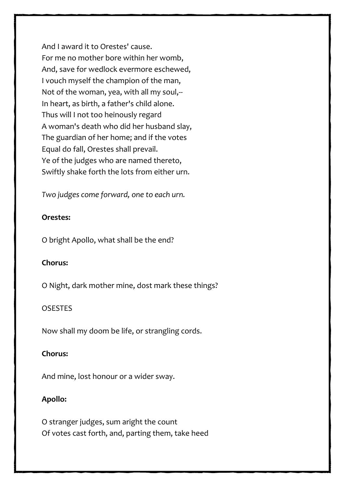And I award it to Orestes' cause. For me no mother bore within her womb, And, save for wedlock evermore eschewed, I vouch myself the champion of the man, Not of the woman, yea, with all my soul,-- In heart, as birth, a father's child alone. Thus will I not too heinously regard A woman's death who did her husband slay, The guardian of her home; and if the votes Equal do fall, Orestes shall prevail. Ye of the judges who are named thereto, Swiftly shake forth the lots from either urn.

*Two judges come forward, one to each urn.*

#### **Orestes:**

O bright Apollo, what shall be the end?

#### **Chorus:**

O Night, dark mother mine, dost mark these things?

#### **OSESTES**

Now shall my doom be life, or strangling cords.

#### **Chorus:**

And mine, lost honour or a wider sway.

#### **Apollo:**

O stranger judges, sum aright the count Of votes cast forth, and, parting them, take heed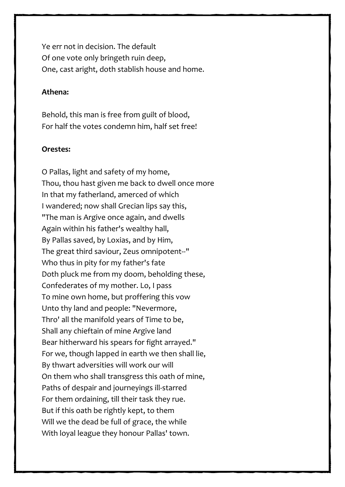Ye err not in decision. The default Of one vote only bringeth ruin deep, One, cast aright, doth stablish house and home.

#### **Athena:**

Behold, this man is free from guilt of blood, For half the votes condemn him, half set free!

#### **Orestes:**

O Pallas, light and safety of my home, Thou, thou hast given me back to dwell once more In that my fatherland, amerced of which I wandered; now shall Grecian lips say this, "The man is Argive once again, and dwells Again within his father's wealthy hall, By Pallas saved, by Loxias, and by Him, The great third saviour, Zeus omnipotent--" Who thus in pity for my father's fate Doth pluck me from my doom, beholding these, Confederates of my mother. Lo, I pass To mine own home, but proffering this vow Unto thy land and people: "Nevermore, Thro' all the manifold years of Time to be, Shall any chieftain of mine Argive land Bear hitherward his spears for fight arrayed." For we, though lapped in earth we then shall lie, By thwart adversities will work our will On them who shall transgress this oath of mine, Paths of despair and journeyings ill-starred For them ordaining, till their task they rue. But if this oath be rightly kept, to them Will we the dead be full of grace, the while With loyal league they honour Pallas' town.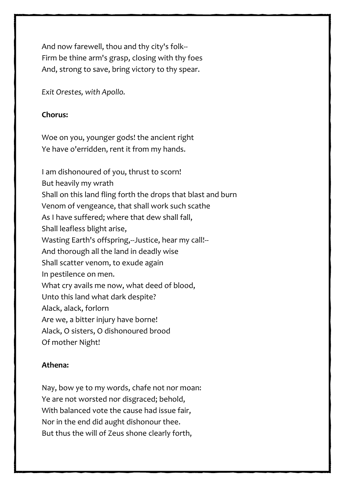And now farewell, thou and thy city's folk-- Firm be thine arm's grasp, closing with thy foes And, strong to save, bring victory to thy spear.

*Exit Orestes, with Apollo.*

#### **Chorus:**

Woe on you, younger gods! the ancient right Ye have o'erridden, rent it from my hands.

I am dishonoured of you, thrust to scorn! But heavily my wrath Shall on this land fling forth the drops that blast and burn Venom of vengeance, that shall work such scathe As I have suffered; where that dew shall fall, Shall leafless blight arise, Wasting Earth's offspring,--Justice, hear my call!--And thorough all the land in deadly wise Shall scatter venom, to exude again In pestilence on men. What cry avails me now, what deed of blood, Unto this land what dark despite? Alack, alack, forlorn Are we, a bitter injury have borne! Alack, O sisters, O dishonoured brood Of mother Night!

#### **Athena:**

Nay, bow ye to my words, chafe not nor moan: Ye are not worsted nor disgraced; behold, With balanced vote the cause had issue fair, Nor in the end did aught dishonour thee. But thus the will of Zeus shone clearly forth,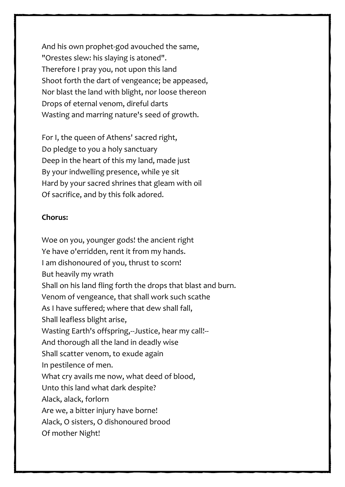And his own prophet-god avouched the same, "Orestes slew: his slaying is atoned". Therefore I pray you, not upon this land Shoot forth the dart of vengeance; be appeased, Nor blast the land with blight, nor loose thereon Drops of eternal venom, direful darts Wasting and marring nature's seed of growth.

For I, the queen of Athens' sacred right, Do pledge to you a holy sanctuary Deep in the heart of this my land, made just By your indwelling presence, while ye sit Hard by your sacred shrines that gleam with oil Of sacrifice, and by this folk adored.

#### **Chorus:**

Woe on you, younger gods! the ancient right Ye have o'erridden, rent it from my hands. I am dishonoured of you, thrust to scorn! But heavily my wrath Shall on his land fling forth the drops that blast and burn. Venom of vengeance, that shall work such scathe As I have suffered; where that dew shall fall, Shall leafless blight arise, Wasting Earth's offspring,--Justice, hear my call!--And thorough all the land in deadly wise Shall scatter venom, to exude again In pestilence of men. What cry avails me now, what deed of blood, Unto this land what dark despite? Alack, alack, forlorn Are we, a bitter injury have borne! Alack, O sisters, O dishonoured brood Of mother Night!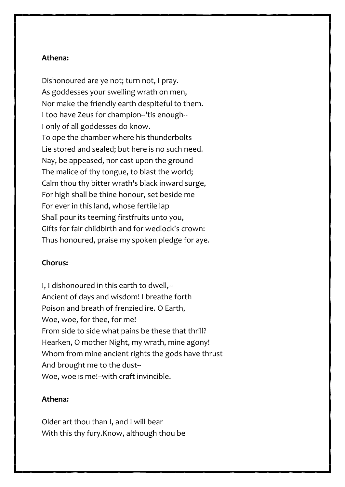#### **Athena:**

Dishonoured are ye not; turn not, I pray. As goddesses your swelling wrath on men, Nor make the friendly earth despiteful to them. I too have Zeus for champion--'tis enough-- I only of all goddesses do know. To ope the chamber where his thunderbolts Lie stored and sealed; but here is no such need. Nay, be appeased, nor cast upon the ground The malice of thy tongue, to blast the world; Calm thou thy bitter wrath's black inward surge, For high shall be thine honour, set beside me For ever in this land, whose fertile lap Shall pour its teeming firstfruits unto you, Gifts for fair childbirth and for wedlock's crown: Thus honoured, praise my spoken pledge for aye.

41

#### **Chorus:**

I, I dishonoured in this earth to dwell,-- Ancient of days and wisdom! I breathe forth Poison and breath of frenzied ire. O Earth, Woe, woe, for thee, for me! From side to side what pains be these that thrill? Hearken, O mother Night, my wrath, mine agony! Whom from mine ancient rights the gods have thrust And brought me to the dust-- Woe, woe is me!--with craft invincible.

#### **Athena:**

Older art thou than I, and I will bear With this thy fury.Know, although thou be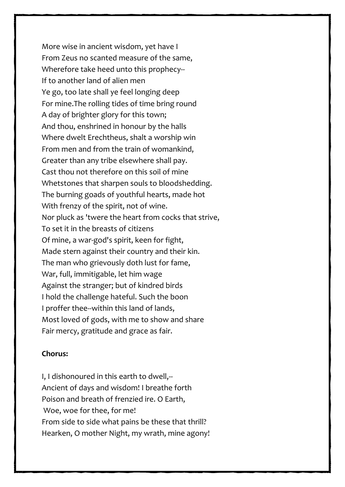More wise in ancient wisdom, yet have I From Zeus no scanted measure of the same, Wherefore take heed unto this prophecy-- If to another land of alien men Ye go, too late shall ye feel longing deep For mine.The rolling tides of time bring round A day of brighter glory for this town; And thou, enshrined in honour by the halls Where dwelt Erechtheus, shalt a worship win From men and from the train of womankind, Greater than any tribe elsewhere shall pay. Cast thou not therefore on this soil of mine Whetstones that sharpen souls to bloodshedding. The burning goads of youthful hearts, made hot With frenzy of the spirit, not of wine. Nor pluck as 'twere the heart from cocks that strive, To set it in the breasts of citizens Of mine, a war-god's spirit, keen for fight, Made stern against their country and their kin. The man who grievously doth lust for fame, War, full, immitigable, let him wage Against the stranger; but of kindred birds I hold the challenge hateful. Such the boon I proffer thee--within this land of lands, Most loved of gods, with me to show and share Fair mercy, gratitude and grace as fair.

#### **Chorus:**

I, I dishonoured in this earth to dwell,-- Ancient of days and wisdom! I breathe forth Poison and breath of frenzied ire. O Earth, Woe, woe for thee, for me! From side to side what pains be these that thrill? Hearken, O mother Night, my wrath, mine agony!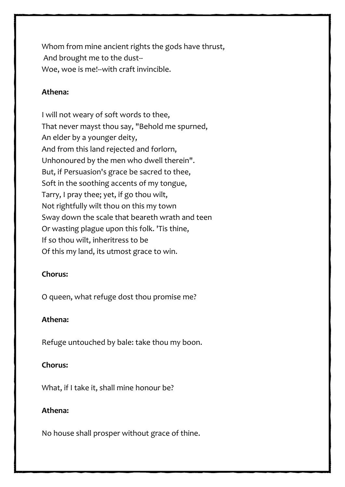Whom from mine ancient rights the gods have thrust, And brought me to the dust-- Woe, woe is me!--with craft invincible.

#### **Athena:**

I will not weary of soft words to thee, That never mayst thou say, "Behold me spurned, An elder by a younger deity, And from this land rejected and forlorn, Unhonoured by the men who dwell therein". But, if Persuasion's grace be sacred to thee, Soft in the soothing accents of my tongue, Tarry, I pray thee; yet, if go thou wilt, Not rightfully wilt thou on this my town Sway down the scale that beareth wrath and teen Or wasting plague upon this folk. 'Tis thine, If so thou wilt, inheritress to be Of this my land, its utmost grace to win.

#### **Chorus:**

O queen, what refuge dost thou promise me?

#### **Athena:**

Refuge untouched by bale: take thou my boon.

#### **Chorus:**

What, if I take it, shall mine honour be?

#### **Athena:**

No house shall prosper without grace of thine.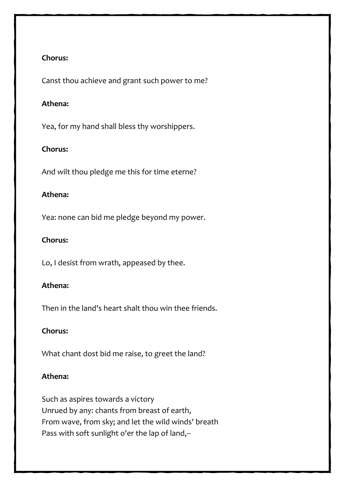#### **Chorus:**

Canst thou achieve and grant such power to me?

#### **Athena:**

Yea, for my hand shall bless thy worshippers.

#### **Chorus:**

And wilt thou pledge me this for time eterne?

#### **Athena:**

Yea: none can bid me pledge beyond my power.

#### **Chorus:**

Lo, I desist from wrath, appeased by thee.

#### **Athena:**

Then in the land's heart shalt thou win thee friends.

#### **Chorus:**

What chant dost bid me raise, to greet the land?

#### **Athena:**

Such as aspires towards a victory Unrued by any: chants from breast of earth, From wave, from sky; and let the wild winds' breath Pass with soft sunlight o'er the lap of land,--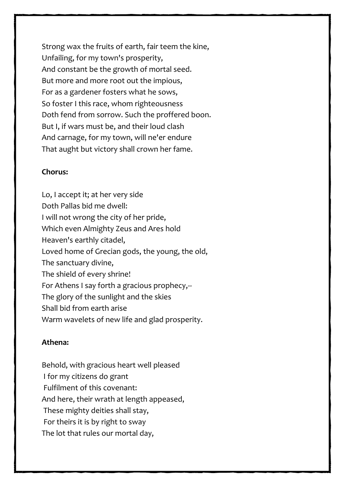Strong wax the fruits of earth, fair teem the kine, Unfailing, for my town's prosperity, And constant be the growth of mortal seed. But more and more root out the impious, For as a gardener fosters what he sows, So foster I this race, whom righteousness Doth fend from sorrow. Such the proffered boon. But I, if wars must be, and their loud clash And carnage, for my town, will ne'er endure That aught but victory shall crown her fame.

#### **Chorus:**

Lo, I accept it; at her very side Doth Pallas bid me dwell: I will not wrong the city of her pride, Which even Almighty Zeus and Ares hold Heaven's earthly citadel, Loved home of Grecian gods, the young, the old, The sanctuary divine, The shield of every shrine! For Athens I say forth a gracious prophecy,-- The glory of the sunlight and the skies Shall bid from earth arise Warm wavelets of new life and glad prosperity.

#### **Athena:**

Behold, with gracious heart well pleased I for my citizens do grant Fulfilment of this covenant: And here, their wrath at length appeased, These mighty deities shall stay, For theirs it is by right to sway The lot that rules our mortal day,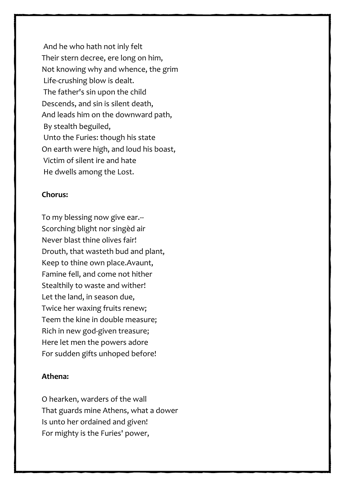And he who hath not inly felt Their stern decree, ere long on him, Not knowing why and whence, the grim Life-crushing blow is dealt. The father's sin upon the child Descends, and sin is silent death, And leads him on the downward path, By stealth beguiled, Unto the Furies: though his state On earth were high, and loud his boast, Victim of silent ire and hate He dwells among the Lost.

#### **Chorus:**

To my blessing now give ear.-- Scorching blight nor singèd air Never blast thine olives fair! Drouth, that wasteth bud and plant, Keep to thine own place.Avaunt, Famine fell, and come not hither Stealthily to waste and wither! Let the land, in season due, Twice her waxing fruits renew; Teem the kine in double measure; Rich in new god-given treasure; Here let men the powers adore For sudden gifts unhoped before!

#### **Athena:**

O hearken, warders of the wall That guards mine Athens, what a dower Is unto her ordained and given! For mighty is the Furies' power,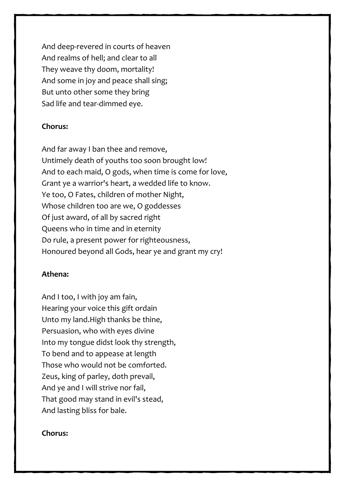And deep-revered in courts of heaven And realms of hell; and clear to all They weave thy doom, mortality! And some in joy and peace shall sing; But unto other some they bring Sad life and tear-dimmed eye.

#### **Chorus:**

And far away I ban thee and remove, Untimely death of youths too soon brought low! And to each maid, O gods, when time is come for love, Grant ye a warrior's heart, a wedded life to know. Ye too, O Fates, children of mother Night, Whose children too are we, O goddesses Of just award, of all by sacred right Queens who in time and in eternity Do rule, a present power for righteousness, Honoured beyond all Gods, hear ye and grant my cry!

#### **Athena:**

And I too, I with joy am fain, Hearing your voice this gift ordain Unto my land.High thanks be thine, Persuasion, who with eyes divine Into my tongue didst look thy strength, To bend and to appease at length Those who would not be comforted. Zeus, king of parley, doth prevail, And ye and I will strive nor fail, That good may stand in evil's stead, And lasting bliss for bale.

#### **Chorus:**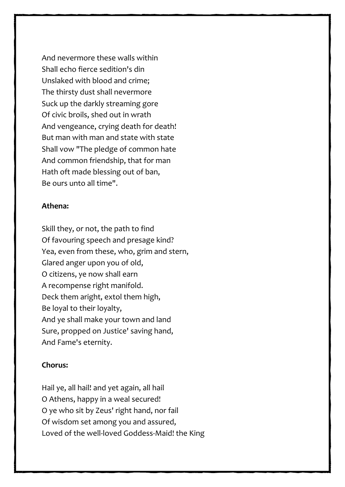And nevermore these walls within Shall echo fierce sedition's din Unslaked with blood and crime; The thirsty dust shall nevermore Suck up the darkly streaming gore Of civic broils, shed out in wrath And vengeance, crying death for death! But man with man and state with state Shall vow "The pledge of common hate And common friendship, that for man Hath oft made blessing out of ban, Be ours unto all time".

#### **Athena:**

Skill they, or not, the path to find Of favouring speech and presage kind? Yea, even from these, who, grim and stern, Glared anger upon you of old, O citizens, ye now shall earn A recompense right manifold. Deck them aright, extol them high, Be loyal to their loyalty, And ye shall make your town and land Sure, propped on Justice' saving hand, And Fame's eternity.

#### **Chorus:**

Hail ye, all hail! and yet again, all hail O Athens, happy in a weal secured! O ye who sit by Zeus' right hand, nor fail Of wisdom set among you and assured, Loved of the well-loved Goddess-Maid! the King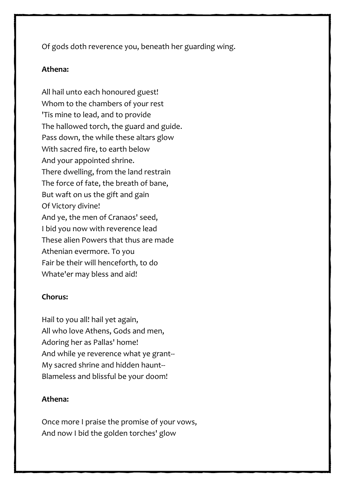Of gods doth reverence you, beneath her guarding wing.

#### **Athena:**

All hail unto each honoured guest! Whom to the chambers of your rest 'Tis mine to lead, and to provide The hallowed torch, the guard and guide. Pass down, the while these altars glow With sacred fire, to earth below And your appointed shrine. There dwelling, from the land restrain The force of fate, the breath of bane, But waft on us the gift and gain Of Victory divine! And ye, the men of Cranaos' seed, I bid you now with reverence lead These alien Powers that thus are made Athenian evermore. To you Fair be their will henceforth, to do Whate'er may bless and aid!

#### **Chorus:**

Hail to you all! hail yet again, All who love Athens, Gods and men, Adoring her as Pallas' home! And while ye reverence what ye grant-- My sacred shrine and hidden haunt-- Blameless and blissful be your doom!

#### **Athena:**

Once more I praise the promise of your vows, And now I bid the golden torches' glow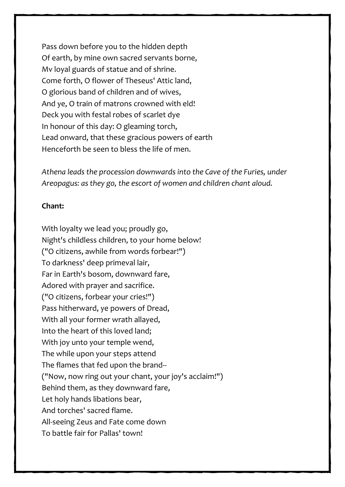Pass down before you to the hidden depth Of earth, by mine own sacred servants borne, Mv loyal guards of statue and of shrine. Come forth, O flower of Theseus' Attic land, O glorious band of children and of wives, And ye, O train of matrons crowned with eld! Deck you with festal robes of scarlet dye In honour of this day: O gleaming torch, Lead onward, that these gracious powers of earth Henceforth be seen to bless the life of men.

*Athena leads the procession downwards into the Cave of the Furies, under Areopagus: as they go, the escort of women and children chant aloud.*

#### **Chant:**

With loyalty we lead you; proudly go, Night's childless children, to your home below! ("O citizens, awhile from words forbear!") To darkness' deep primeval lair, Far in Earth's bosom, downward fare, Adored with prayer and sacrifice. ("O citizens, forbear your cries!") Pass hitherward, ye powers of Dread, With all your former wrath allayed, Into the heart of this loved land; With joy unto your temple wend, The while upon your steps attend The flames that fed upon the brand-- ("Now, now ring out your chant, your joy's acclaim!") Behind them, as they downward fare, Let holy hands libations bear, And torches' sacred flame. All-seeing Zeus and Fate come down To battle fair for Pallas' town!